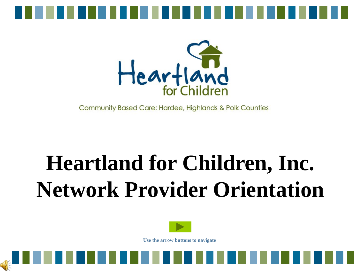



Community Based Care: Hardee, Highlands & Polk Counties

## **Heartland for Children, Inc. Network Provider Orientation**



**Use the arrow buttons to navigate**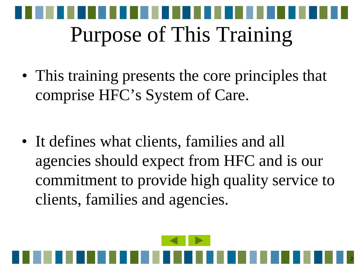

• This training presents the core principles that comprise HFC's System of Care.

• It defines what clients, families and all agencies should expect from HFC and is our commitment to provide high quality service to clients, families and agencies.

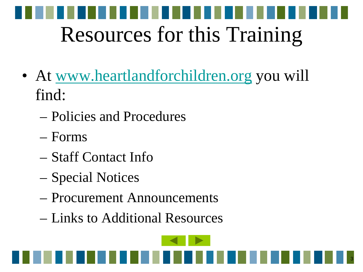

- At [www.heartlandforchildren.org](http://www.heartlandforchildren.org/) you will find:
	- Policies and Procedures
	- Forms
	- Staff Contact Info
	- Special Notices
	- Procurement Announcements
	- Links to Additional Resources

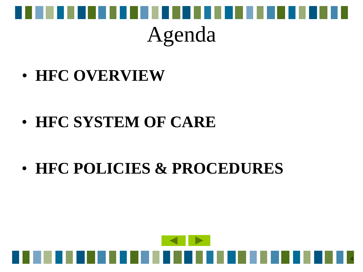

#### Agenda

• **HFC OVERVIEW**

- **HFC SYSTEM OF CARE**
- **HFC POLICIES & PROCEDURES**

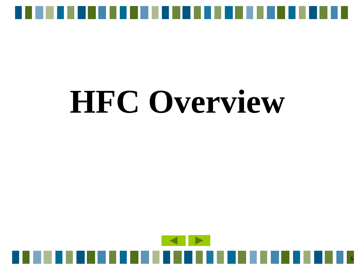

# **HFC Overview**

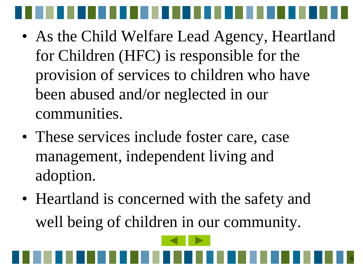- As the Child Welfare Lead Agency, Heartland for Children (HFC) is responsible for the provision of services to children who have been abused and/or neglected in our communities.
- These services include foster care, case management, independent living and adoption.
- Heartland is concerned with the safety and well being of children in our community.

6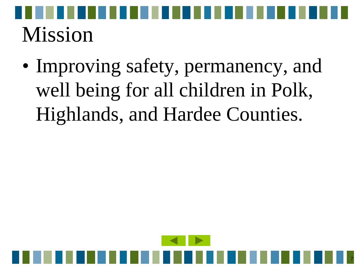# Mission

• Improving safety, permanency, and well being for all children in Polk, Highlands, and Hardee Counties.

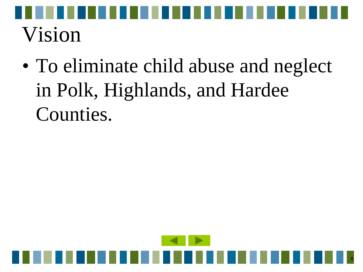

• To eliminate child abuse and neglect in Polk, Highlands, and Hardee Counties.

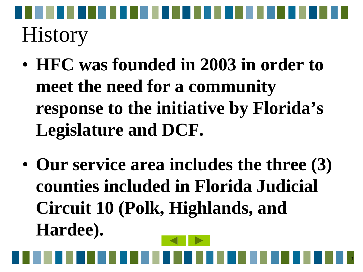**History** 

- **HFC was founded in 2003 in order to meet the need for a community response to the initiative by Florida's Legislature and DCF.**
- **Our service area includes the three (3) counties included in Florida Judicial Circuit 10 (Polk, Highlands, and Hardee).**

9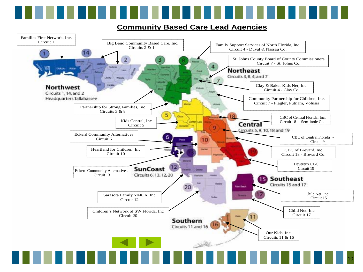#### **Community Based Care Lead Agencies**

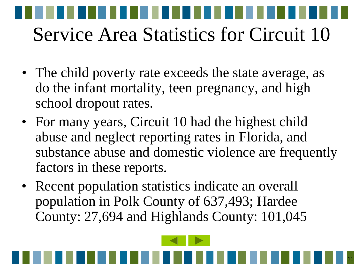# Service Area Statistics for Circuit 10

- The child poverty rate exceeds the state average, as do the infant mortality, teen pregnancy, and high school dropout rates.
- For many years, Circuit 10 had the highest child abuse and neglect reporting rates in Florida, and substance abuse and domestic violence are frequently factors in these reports.

11

• Recent population statistics indicate an overall population in Polk County of 637,493; Hardee County: 27,694 and Highlands County: 101,045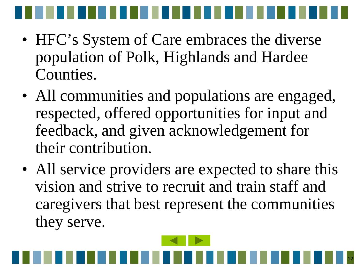

- HFC's System of Care embraces the diverse population of Polk, Highlands and Hardee Counties.
- All communities and populations are engaged, respected, offered opportunities for input and feedback, and given acknowledgement for their contribution.
- All service providers are expected to share this vision and strive to recruit and train staff and caregivers that best represent the communities they serve.

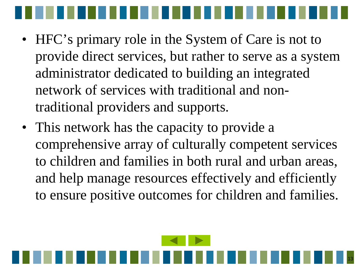

- HFC's primary role in the System of Care is not to provide direct services, but rather to serve as a system administrator dedicated to building an integrated network of services with traditional and nontraditional providers and supports.
- This network has the capacity to provide a comprehensive array of culturally competent services to children and families in both rural and urban areas, and help manage resources effectively and efficiently to ensure positive outcomes for children and families.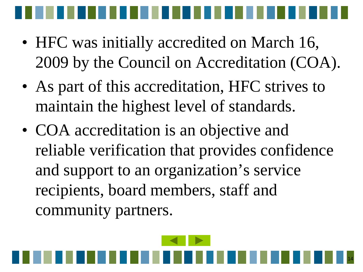- HFC was initially accredited on March 16, 2009 by the Council on Accreditation (COA).
- As part of this accreditation, HFC strives to maintain the highest level of standards.
- COA accreditation is an objective and reliable verification that provides confidence and support to an organization's service recipients, board members, staff and community partners.

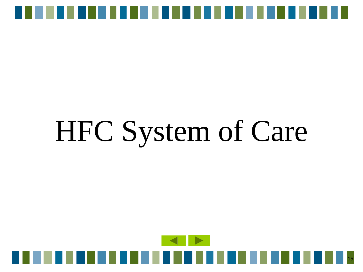

# HFC System of Care

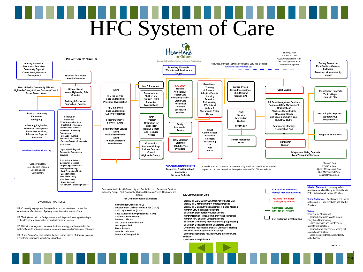# HFC System of Care

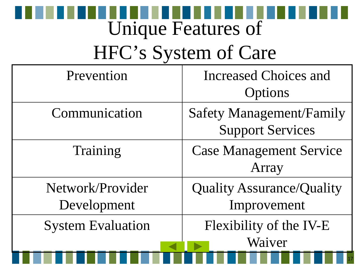### Unique Features of

## HFC's System of Care

| <b>Safety Management/Family</b><br><b>Support Services</b> |
|------------------------------------------------------------|
| <b>Case Management Service</b><br>Array                    |
| <b>Quality Assurance/Quality</b><br>Improvement            |
| Flexibility of the IV-E<br>Waiver                          |
|                                                            |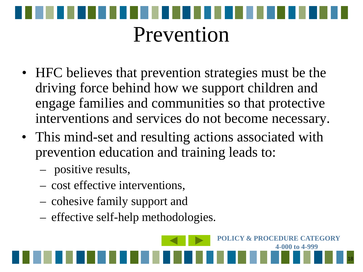

- HFC believes that prevention strategies must be the driving force behind how we support children and engage families and communities so that protective interventions and services do not become necessary.
- This mind-set and resulting actions associated with prevention education and training leads to:
	- positive results,
	- cost effective interventions,
	- cohesive family support and
	- effective self-help methodologies.

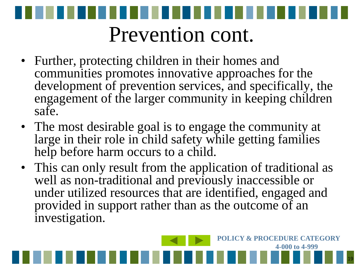

- Further, protecting children in their homes and communities promotes innovative approaches for the development of prevention services, and specifically, the engagement of the larger community in keeping children safe.
- The most desirable goal is to engage the community at large in their role in child safety while getting families help before harm occurs to a child.
- This can only result from the application of traditional as well as non-traditional and previously inaccessible or under utilized resources that are identified, engaged and provided in support rather than as the outcome of an investigation.

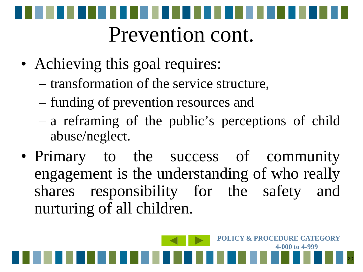

- Achieving this goal requires:
	- transformation of the service structure,
	- funding of prevention resources and
	- a reframing of the public's perceptions of child abuse/neglect.
- Primary to the success of community engagement is the understanding of who really shares responsibility for the safety and nurturing of all children.

20

**POLICY & PROCEDURE CATEGORY** 

**4-000 to 4-999**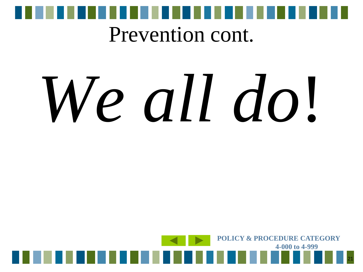

#### Prevention cont.

# *We all do*!

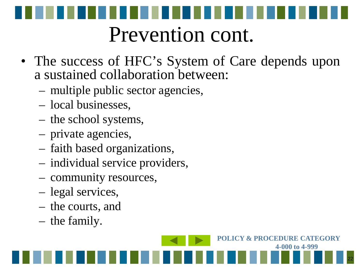

- The success of HFC's System of Care depends upon a sustained collaboration between:
	- multiple public sector agencies,
	- local businesses,
	- the school systems,
	- private agencies,
	- faith based organizations,
	- individual service providers,
	- community resources,
	- legal services,
	- the courts, and
	- the family.

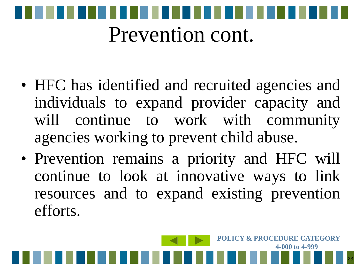

- HFC has identified and recruited agencies and individuals to expand provider capacity and will continue to work with community agencies working to prevent child abuse.
- Prevention remains a priority and HFC will continue to look at innovative ways to link resources and to expand existing prevention efforts.

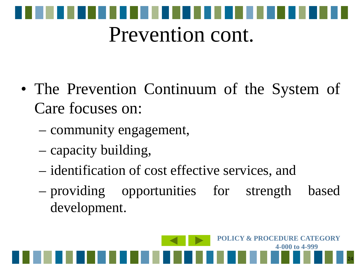

- The Prevention Continuum of the System of Care focuses on:
	- community engagement,
	- capacity building,
	- identification of cost effective services, and
	- providing opportunities for strength based development.

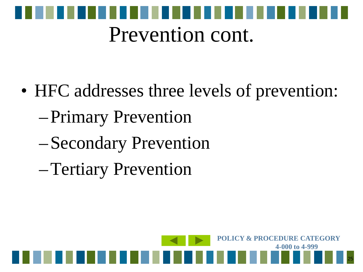

- HFC addresses three levels of prevention:
	- –Primary Prevention
	- –Secondary Prevention
	- –Tertiary Prevention

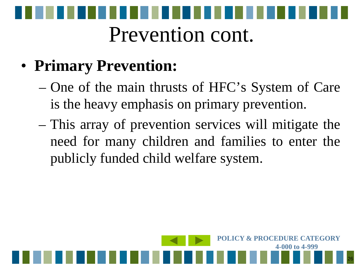

#### • **Primary Prevention:**

- One of the main thrusts of HFC's System of Care is the heavy emphasis on primary prevention.
- This array of prevention services will mitigate the need for many children and families to enter the publicly funded child welfare system.

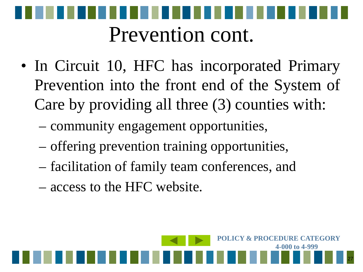

- In Circuit 10, HFC has incorporated Primary Prevention into the front end of the System of Care by providing all three (3) counties with:
	- community engagement opportunities,
	- offering prevention training opportunities,
	- facilitation of family team conferences, and

27

**POLICY & PROCEDURE CATEGORY** 

**4-000 to 4-999**

– access to the HFC website.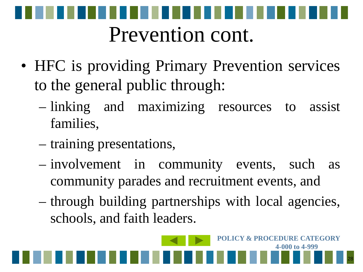

- HFC is providing Primary Prevention services to the general public through:
	- linking and maximizing resources to assist families,
	- training presentations,
	- involvement in community events, such as community parades and recruitment events, and
	- through building partnerships with local agencies, schools, and faith leaders.

28

**POLICY & PROCEDURE CATEGORY** 

**4-000 to 4-999**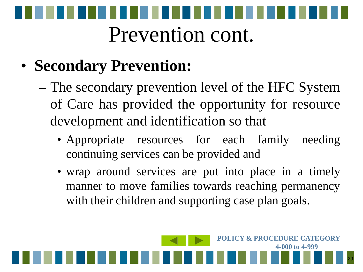

#### • **Secondary Prevention:**

- The secondary prevention level of the HFC System of Care has provided the opportunity for resource development and identification so that
	- Appropriate resources for each family needing continuing services can be provided and
	- wrap around services are put into place in a timely manner to move families towards reaching permanency with their children and supporting case plan goals.

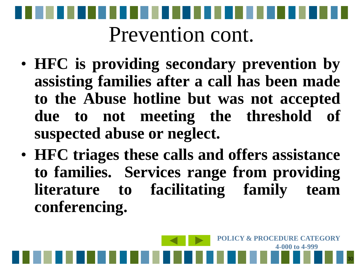

- **HFC is providing secondary prevention by assisting families after a call has been made to the Abuse hotline but was not accepted due to not meeting the threshold of suspected abuse or neglect.**
- **HFC triages these calls and offers assistance to families. Services range from providing literature to facilitating family team conferencing.**

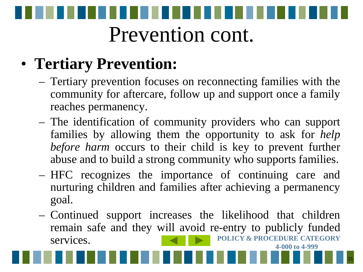

#### • **Tertiary Prevention:**

- Tertiary prevention focuses on reconnecting families with the community for aftercare, follow up and support once a family reaches permanency.
- The identification of community providers who can support families by allowing them the opportunity to ask for *help before harm* occurs to their child is key to prevent further abuse and to build a strong community who supports families.
- HFC recognizes the importance of continuing care and nurturing children and families after achieving a permanency goal.
- Continued support increases the likelihood that children remain safe and they will avoid re-entry to publicly funded services. **POLICY & PROCEDURE CATEGORY 4-000 to 4-999**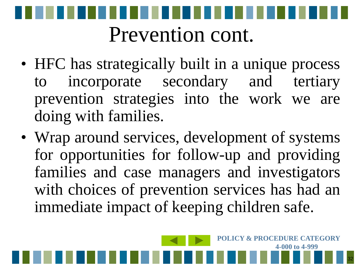

- HFC has strategically built in a unique process to incorporate secondary and tertiary prevention strategies into the work we are doing with families.
- Wrap around services, development of systems for opportunities for follow-up and providing families and case managers and investigators with choices of prevention services has had an immediate impact of keeping children safe.

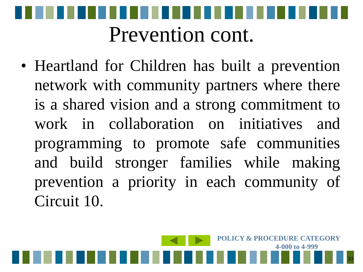

• Heartland for Children has built a prevention network with community partners where there is a shared vision and a strong commitment to work in collaboration on initiatives and programming to promote safe communities and build stronger families while making prevention a priority in each community of Circuit 10.

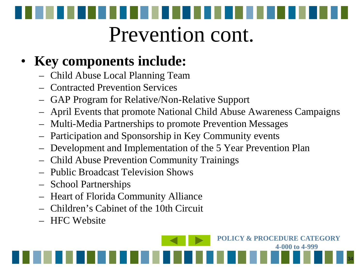# Prevention cont.

#### • **Key components include:**

- Child Abuse Local Planning Team
- Contracted Prevention Services
- GAP Program for Relative/Non-Relative Support
- April Events that promote National Child Abuse Awareness Campaigns
- Multi-Media Partnerships to promote Prevention Messages
- Participation and Sponsorship in Key Community events
- Development and Implementation of the 5 Year Prevention Plan
- Child Abuse Prevention Community Trainings
- Public Broadcast Television Shows
- School Partnerships
- Heart of Florida Community Alliance
- Children's Cabinet of the 10th Circuit
- HFC Website

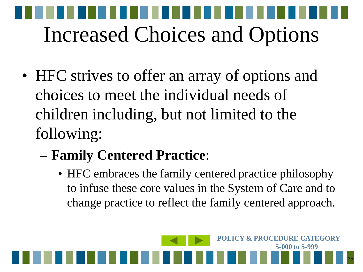# Increased Choices and Options

- HFC strives to offer an array of options and choices to meet the individual needs of children including, but not limited to the following:
	- **Family Centered Practice**:
		- HFC embraces the family centered practice philosophy to infuse these core values in the System of Care and to change practice to reflect the family centered approach.

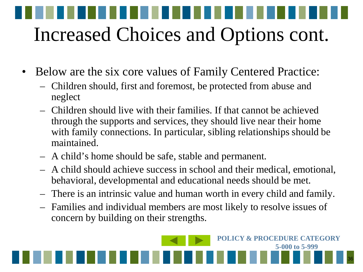# Increased Choices and Options cont.

- Below are the six core values of Family Centered Practice:
	- Children should, first and foremost, be protected from abuse and neglect
	- Children should live with their families. If that cannot be achieved through the supports and services, they should live near their home with family connections. In particular, sibling relationships should be maintained.
	- A child's home should be safe, stable and permanent.
	- A child should achieve success in school and their medical, emotional, behavioral, developmental and educational needs should be met.
	- There is an intrinsic value and human worth in every child and family.
	- Families and individual members are most likely to resolve issues of concern by building on their strengths.

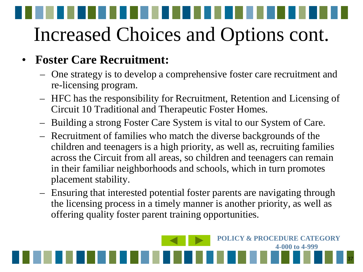#### • **Foster Care Recruitment:**

- One strategy is to develop a comprehensive foster care recruitment and re-licensing program.
- HFC has the responsibility for Recruitment, Retention and Licensing of Circuit 10 Traditional and Therapeutic Foster Homes.
- Building a strong Foster Care System is vital to our System of Care.
- Recruitment of families who match the diverse backgrounds of the children and teenagers is a high priority, as well as, recruiting families across the Circuit from all areas, so children and teenagers can remain in their familiar neighborhoods and schools, which in turn promotes placement stability.
- Ensuring that interested potential foster parents are navigating through the licensing process in a timely manner is another priority, as well as offering quality foster parent training opportunities.

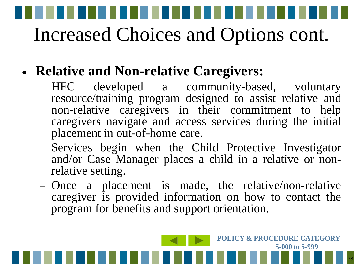- **Relative and Non-relative Caregivers:**
	- − HFC developed a community-based, voluntary resource/training program designed to assist relative and non-relative caregivers in their commitment to help caregivers navigate and access services during the initial placement in out-of-home care.
	- − Services begin when the Child Protective Investigator and/or Case Manager places <sup>a</sup> child in <sup>a</sup> relative or non- relative setting.
	- − Once a placement is made, the relative/non-relative caregiver is provided information on how to contact the program for benefits and support orientation.

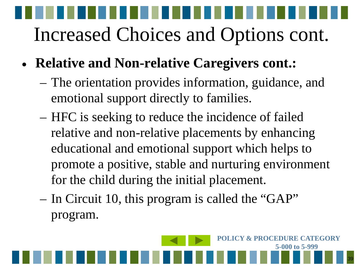- **Relative and Non-relative Caregivers cont.:**
	- The orientation provides information, guidance, and emotional support directly to families.
	- HFC is seeking to reduce the incidence of failed relative and non-relative placements by enhancing educational and emotional support which helps to promote a positive, stable and nurturing environment for the child during the initial placement.
	- In Circuit 10, this program is called the "GAP" program.

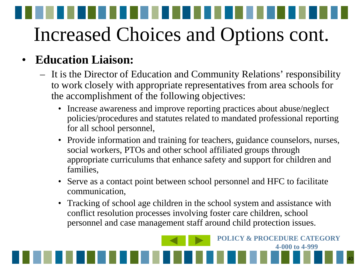#### • **Education Liaison:**

- It is the Director of Education and Community Relations' responsibility to work closely with appropriate representatives from area schools for the accomplishment of the following objectives:
	- Increase awareness and improve reporting practices about abuse/neglect policies/procedures and statutes related to mandated professional reporting for all school personnel,
	- Provide information and training for teachers, guidance counselors, nurses, social workers, PTOs and other school affiliated groups through appropriate curriculums that enhance safety and support for children and families,
	- Serve as a contact point between school personnel and HFC to facilitate communication,
	- Tracking of school age children in the school system and assistance with conflict resolution processes involving foster care children, school personnel and case management staff around child protection issues.

40

**POLICY & PROCEDURE CATEGORY** 

**4-000 to 4-999**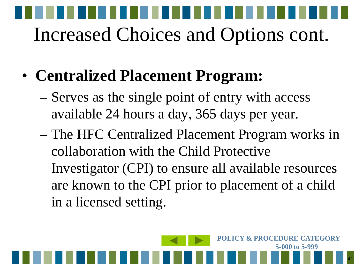- **Centralized Placement Program:** 
	- Serves as the single point of entry with access available 24 hours a day, 365 days per year.
	- The HFC Centralized Placement Program works in collaboration with the Child Protective Investigator (CPI) to ensure all available resources are known to the CPI prior to placement of a child in a licensed setting.

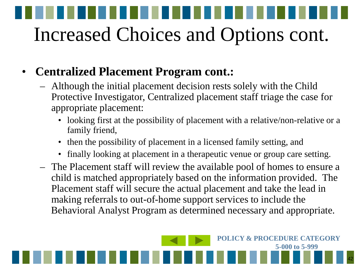#### • **Centralized Placement Program cont.:**

- Although the initial placement decision rests solely with the Child Protective Investigator, Centralized placement staff triage the case for appropriate placement:
	- looking first at the possibility of placement with a relative/non-relative or a family friend,
	- then the possibility of placement in a licensed family setting, and
	- finally looking at placement in a therapeutic venue or group care setting.
- The Placement staff will review the available pool of homes to ensure a child is matched appropriately based on the information provided. The Placement staff will secure the actual placement and take the lead in making referrals to out-of-home support services to include the Behavioral Analyst Program as determined necessary and appropriate.

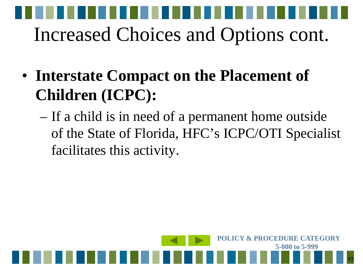- **Interstate Compact on the Placement of Children (ICPC):** 
	- If a child is in need of a permanent home outside of the State of Florida, HFC's ICPC/OTI Specialist facilitates this activity.

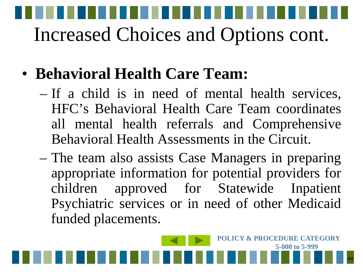#### • **Behavioral Health Care Team:**

- If a child is in need of mental health services, HFC's Behavioral Health Care Team coordinates all mental health referrals and Comprehensive Behavioral Health Assessments in the Circuit.
- The team also assists Case Managers in preparing appropriate information for potential providers for children approved for Statewide Inpatient Psychiatric services or in need of other Medicaid funded placements.

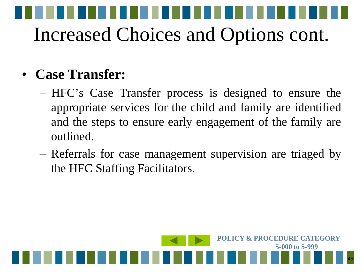#### • **Case Transfer:**

- HFC's Case Transfer process is designed to ensure the appropriate services for the child and family are identified and the steps to ensure early engagement of the family are outlined.
- Referrals for case management supervision are triaged by the HFC Staffing Facilitators.

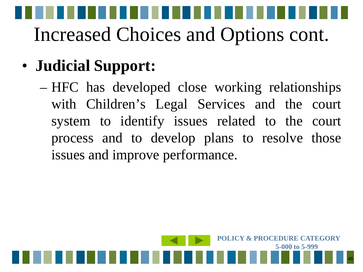#### • **Judicial Support:**

– HFC has developed close working relationships with Children's Legal Services and the court system to identify issues related to the court process and to develop plans to resolve those issues and improve performance.

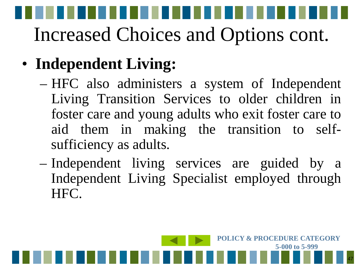#### • **Independent Living:**

- HFC also administers a system of Independent Living Transition Services to older children in foster care and young adults who exit foster care to aid them in making the transition to selfsufficiency as adults.
- Independent living services are guided by a Independent Living Specialist employed through HFC.

47

**POLICY & PROCEDURE CATEGORY** 

**5-000 to 5-999**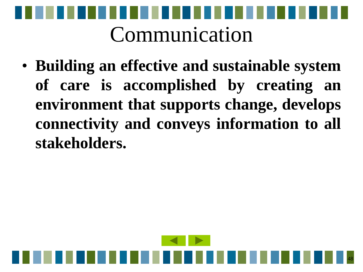

• **Building an effective and sustainable system of care is accomplished by creating an environment that supports change, develops connectivity and conveys information to all stakeholders.**

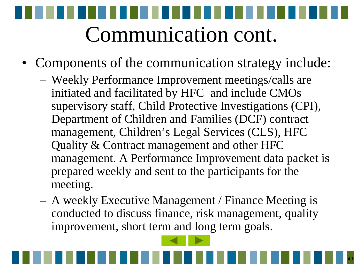- Components of the communication strategy include:
	- Weekly Performance Improvement meetings/calls are initiated and facilitated by HFC and include CMOs supervisory staff, Child Protective Investigations (CPI), Department of Children and Families (DCF) contract management, Children's Legal Services (CLS), HFC Quality & Contract management and other HFC management. A Performance Improvement data packet is prepared weekly and sent to the participants for the meeting.
	- A weekly Executive Management / Finance Meeting is conducted to discuss finance, risk management, quality improvement, short term and long term goals.

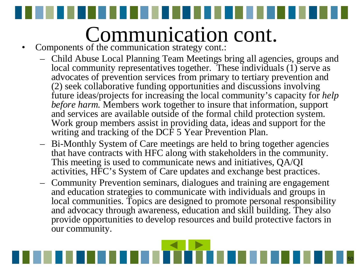- <span id="page-49-0"></span>• Components of the communication strategy cont.:
	- Child Abuse Local Planning Team Meetings bring all agencies, groups and local community representatives together. These individuals (1) serve as advocates of prevention services from primary to tertiary prevention and (2) seek collaborative funding opportunities and discussions involving future ideas/projects for increasing the local community's capacity for *help before harm.* Members work together to insure that information, support and services are available outside of the formal child protection system. Work group members assist in providing data, ideas and support for the writing and tracking of the DCF 5 Year Prevention Plan.
	- Bi-Monthly System of Care meetings are held to bring together agencies that have contracts with HFC along with stakeholders in the community. This meeting is used to communicate news and initiatives, QA/QI activities, HFC's System of Care updates and exchange best practices.
	- Community Prevention seminars, dialogues and training are engagement and education strategies to communicate with individuals and groups in local communities. Topics are designed to promote personal responsibility and advocacy through awareness, education and skill building. They also provide opportunities to develop resources and build protective factors in our community.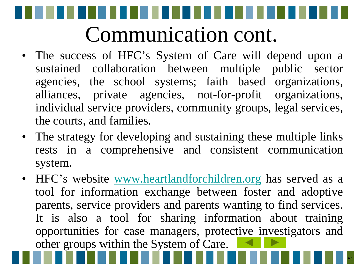- The success of HFC's System of Care will depend upon a sustained collaboration between multiple public sector agencies, the school systems; faith based organizations, alliances, private agencies, not-for-profit organizations, individual service providers, community groups, legal services, the courts, and families.
- The strategy for developing and sustaining these multiple links rests in a comprehensive and consistent communication system.
- HFC's website [www.heartlandforchildren.org](http://www.heartlandforchildren.org/) has served as a tool for information exchange between foster and adoptive parents, service providers and parents wanting to find services. It is also a tool for sharing information about training opportunities for case managers, protec[tive](#page-49-0) i[nvest](#page-51-0)igators and other groups within the System of Care.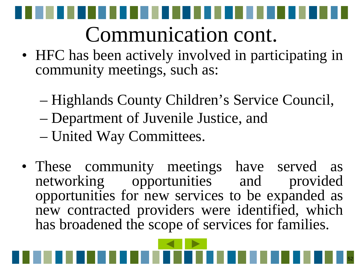<span id="page-51-0"></span>

- HFC has been actively involved in participating in community meetings, such as:
	- Highlands County Children's Service Council,
	- Department of Juvenile Justice, and
	- United Way Committees.
- These community meetings have served as networking opportunities and provided opportunities for new services to be expanded as new contracted providers were identified, which has broadened the scope of services for families.

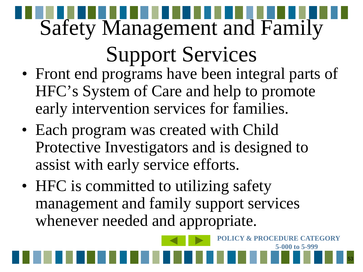# Safety Management and Family

### Support Services

- Front end programs have been integral parts of HFC's System of Care and help to promote early intervention services for families.
- Each program was created with Child Protective Investigators and is designed to assist with early service efforts.
- HFC is committed to utilizing safety management and family support services whenever needed and appropriate.

53

**POLICY & PROCEDURE CATEGORY** 

**5-000 to 5-999**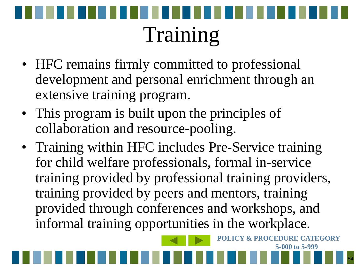

- HFC remains firmly committed to professional development and personal enrichment through an extensive training program.
- This program is built upon the principles of collaboration and resource-pooling.
- Training within HFC includes Pre-Service training for child welfare professionals, formal in-service training provided by professional training providers, training provided by peers and mentors, training provided through conferences and workshops, and informal training opportunities in the workplace.



**POLICY & PROCEDURE CATEGORY** 

**5-000 to 5-999**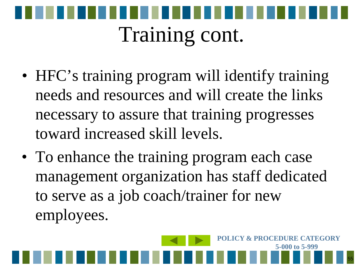

- HFC's training program will identify training needs and resources and will create the links necessary to assure that training progresses toward increased skill levels.
- To enhance the training program each case management organization has staff dedicated to serve as a job coach/trainer for new employees.

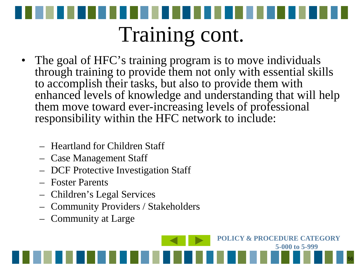

- The goal of HFC's training program is to move individuals through training to provide them not only with essential skills to accomplish their tasks, but also to provide them with enhanced levels of knowledge and understanding that will help them move toward ever-increasing levels of professional responsibility within the HFC network to include:
	- Heartland for Children Staff
	- Case Management Staff
	- DCF Protective Investigation Staff
	- Foster Parents
	- Children's Legal Services
	- Community Providers / Stakeholders
	- Community at Large

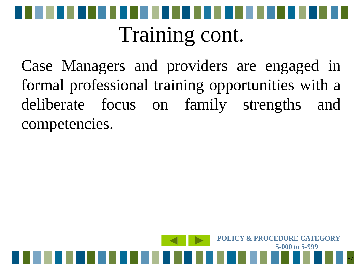

### Training cont.

Case Managers and providers are engaged in formal professional training opportunities with a deliberate focus on family strengths and competencies.

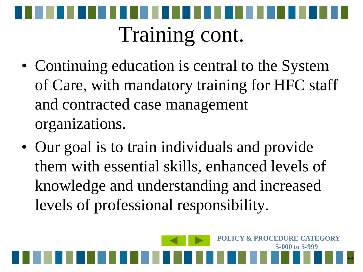

- Continuing education is central to the System of Care, with mandatory training for HFC staff and contracted case management organizations.
- Our goal is to train individuals and provide them with essential skills, enhanced levels of knowledge and understanding and increased levels of professional responsibility.

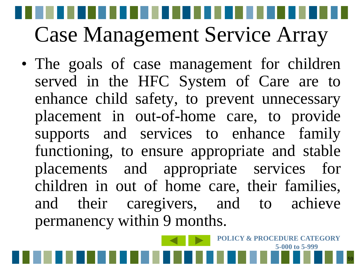• The goals of case management for children served in the HFC System of Care are to enhance child safety, to prevent unnecessary placement in out-of-home care, to provide supports and services to enhance family functioning, to ensure appropriate and stable placements and appropriate services for children in out of home care, their families, and their caregivers, and to achieve permanency within 9 months.



**POLICY & PROCEDURE CATEGORY**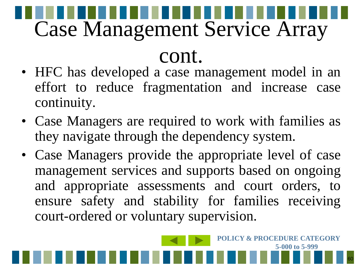#### cont.

- HFC has developed a case management model in an effort to reduce fragmentation and increase case continuity.
- Case Managers are required to work with families as they navigate through the dependency system.
- Case Managers provide the appropriate level of case management services and supports based on ongoing and appropriate assessments and court orders, to ensure safety and stability for families receiving court-ordered or voluntary supervision.

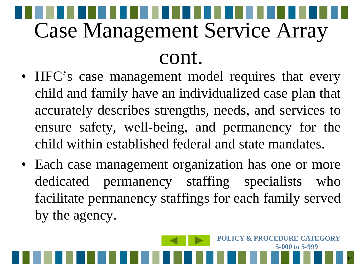- HFC's case management model requires that every child and family have an individualized case plan that accurately describes strengths, needs, and services to ensure safety, well-being, and permanency for the child within established federal and state mandates.
- Each case management organization has one or more dedicated permanency staffing specialists who facilitate permanency staffings for each family served by the agency.

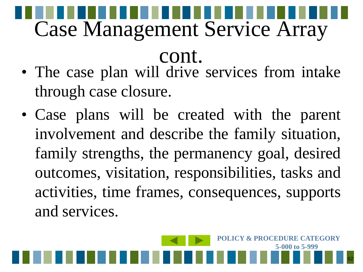- cont. • The case plan will drive services from intake through case closure.
- Case plans will be created with the parent involvement and describe the family situation, family strengths, the permanency goal, desired outcomes, visitation, responsibilities, tasks and activities, time frames, consequences, supports and services.

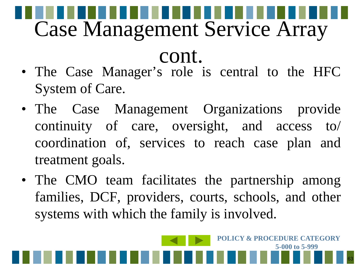• The Case Manager's role is central to the HFC System of Care.

cont.

- The Case Management Organizations provide continuity of care, oversight, and access to/ coordination of, services to reach case plan and treatment goals.
- The CMO team facilitates the partnership among families, DCF, providers, courts, schools, and other systems with which the family is involved.

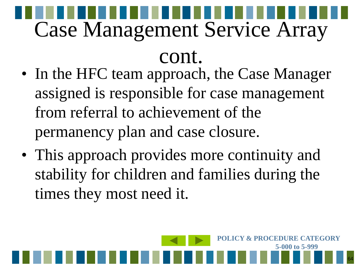cont.

- In the HFC team approach, the Case Manager assigned is responsible for case management from referral to achievement of the permanency plan and case closure.
- This approach provides more continuity and stability for children and families during the times they most need it.

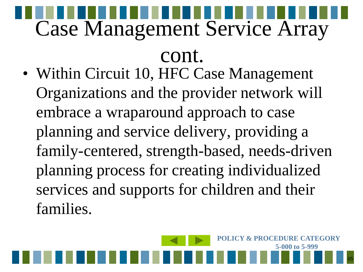cont.

• Within Circuit 10, HFC Case Management Organizations and the provider network will embrace a wraparound approach to case planning and service delivery, providing a family-centered, strength-based, needs-driven planning process for creating individualized services and supports for children and their families.

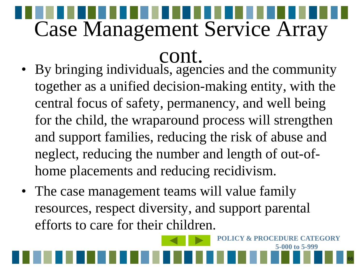- cont. • By bringing individuals, agencies and the community together as a unified decision-making entity, with the central focus of safety, permanency, and well being for the child, the wraparound process will strengthen and support families, reducing the risk of abuse and neglect, reducing the number and length of out-ofhome placements and reducing recidivism.
- The case management teams will value family resources, respect diversity, and support parental efforts to care for their children.

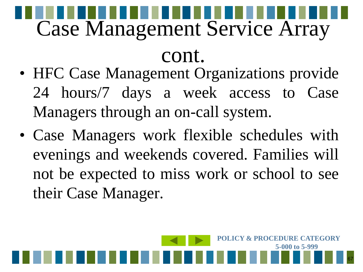#### cont.

- HFC Case Management Organizations provide 24 hours/7 days a week access to Case Managers through an on-call system.
- Case Managers work flexible schedules with evenings and weekends covered. Families will not be expected to miss work or school to see their Case Manager.

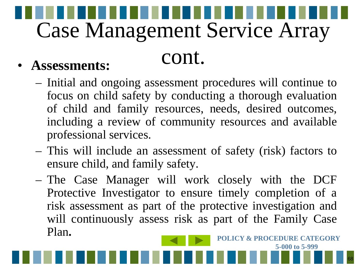#### cont. • **Assessments:**

- Initial and ongoing assessment procedures will continue to focus on child safety by conducting a thorough evaluation of child and family resources, needs, desired outcomes, including a review of community resources and available professional services.
- This will include an assessment of safety (risk) factors to ensure child, and family safety.
- The Case Manager will work closely with the DCF Protective Investigator to ensure timely completion of a risk assessment as part of the protective investigation and will continuously assess risk as part of the Family Case Plan.

**5-000 to 5-999**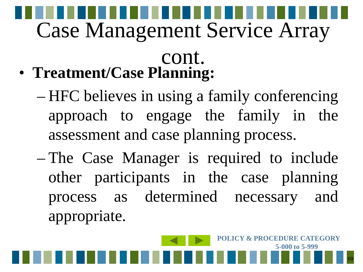- cont. • **Treatment/Case Planning:**
	- HFC believes in using a family conferencing approach to engage the family in the assessment and case planning process.
	- The Case Manager is required to include other participants in the case planning process as determined necessary and appropriate.

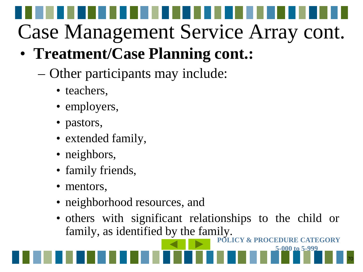#### • **Treatment/Case Planning cont.:**

- Other participants may include:
	- teachers,
	- employers,
	- pastors,
	- extended family,
	- neighbors,
	- family friends,
	- mentors,
	- neighborhood resources, and
	- others with significant relationships to the child or family, as identified by the family.

70

**5-000 to 5-999**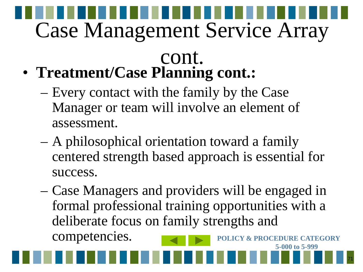- cont. • **Treatment/Case Planning cont.:**
	- Every contact with the family by the Case Manager or team will involve an element of assessment.
	- A philosophical orientation toward a family centered strength based approach is essential for success.
	- Case Managers and providers will be engaged in formal professional training opportunities with a deliberate focus on family strengths and competencies. **POLICY & PROCEDURE CATEGORY**

71

**5-000 to 5-999**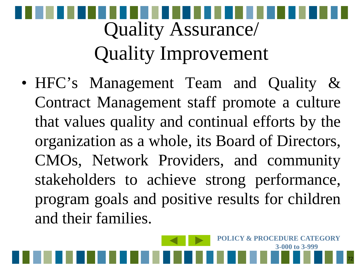### Quality Assurance/ Quality Improvement

• HFC's Management Team and Quality & Contract Management staff promote a culture that values quality and continual efforts by the organization as a whole, its Board of Directors, CMOs, Network Providers, and community stakeholders to achieve strong performance, program goals and positive results for children and their families.

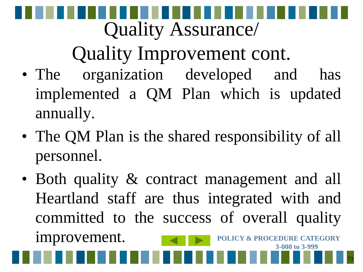# Quality Assurance/

### Quality Improvement cont.

- The organization developed and has implemented a QM Plan which is updated annually.
- The QM Plan is the shared responsibility of all personnel.
- Both quality & contract management and all Heartland staff are thus integrated with and committed to the success of overall quality improvement. **POLICY & PROCEDURE CATEGORY 3-000 to 3-999**

73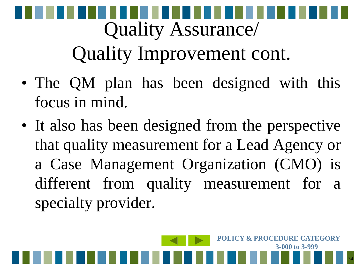# Quality Assurance/ Quality Improvement cont.

- The QM plan has been designed with this focus in mind.
- It also has been designed from the perspective that quality measurement for a Lead Agency or a Case Management Organization (CMO) is different from quality measurement for a specialty provider.

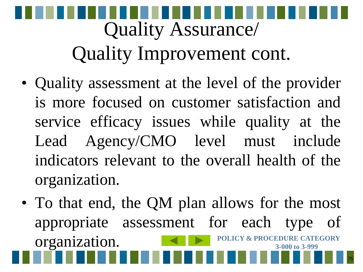# Quality Assurance/ Quality Improvement cont.

- Quality assessment at the level of the provider is more focused on customer satisfaction and service efficacy issues while quality at the Lead Agency/CMO level must include indicators relevant to the overall health of the organization.
- To that end, the QM plan allows for the most appropriate assessment for each type of organization. **POLICY & PROCEDURE CATEGORY 3-000 to 3-999**

75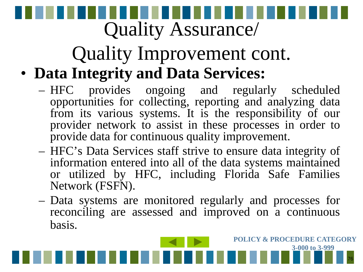# Quality Assurance/

#### Quality Improvement cont. • **Data Integrity and Data Services:**

- HFC provides ongoing and regularly scheduled opportunities for collecting, reporting and analyzing data from its various systems. It is the responsibility of our provider network to assist in these processes in order to provide data for continuous quality improvement.
- HFC's Data Services staff strive to ensure data integrity of information entered into all of the data systems maintained or utilized by HFC, including Florida Safe Families Network (FSFN).
- Data systems are monitored regularly and processes for reconciling are assessed and improved on a continuous basis.

76

**POLICY & PROCEDURE CATEGORY**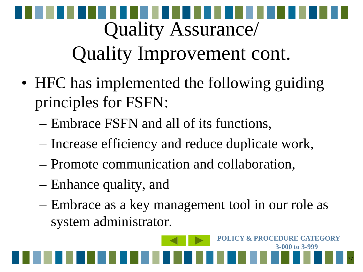# Quality Assurance/ Quality Improvement cont.

- HFC has implemented the following guiding principles for FSFN:
	- Embrace FSFN and all of its functions,
	- Increase efficiency and reduce duplicate work,
	- Promote communication and collaboration,
	- Enhance quality, and
	- Embrace as a key management tool in our role as system administrator.

77

**POLICY & PROCEDURE CATEGORY**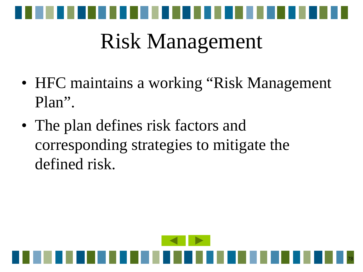

### Risk Management

- HFC maintains a working "Risk Management" Plan".
- The plan defines risk factors and corresponding strategies to mitigate the defined risk.

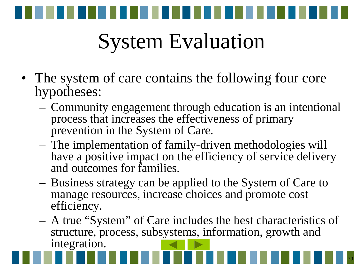

### System Evaluation

- The system of care contains the following four core hypotheses:
	- Community engagement through education is an intentional process that increases the effectiveness of primary prevention in the System of Care.
	- The implementation of family-driven methodologies will have a positive impact on the efficiency of service delivery and outcomes for families.
	- Business strategy can be applied to the System of Care to manage resources, increase choices and promote cost efficiency.
	- A true "System" of Care includes the best characteristics of structure, process, subsystems, information, growth and integration.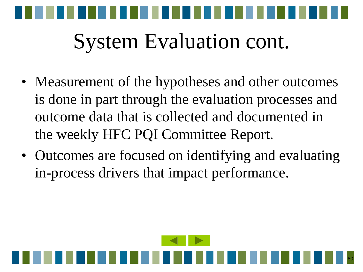

### System Evaluation cont.

- Measurement of the hypotheses and other outcomes is done in part through the evaluation processes and outcome data that is collected and documented in the weekly HFC PQI Committee Report.
- Outcomes are focused on identifying and evaluating in-process drivers that impact performance.

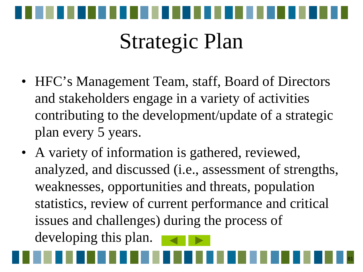

### Strategic Plan

- HFC's Management Team, staff, Board of Directors and stakeholders engage in a variety of activities contributing to the development/update of a strategic plan every 5 years.
- A variety of information is gathered, reviewed, analyzed, and discussed (i.e., assessment of strengths, weaknesses, opportunities and threats, population statistics, review of current performance and critical issues and challenges) during the process of developing this plan.

81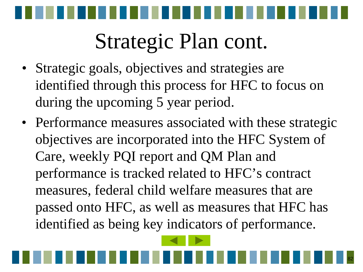

### Strategic Plan cont.

- Strategic goals, objectives and strategies are identified through this process for HFC to focus on during the upcoming 5 year period.
- Performance measures associated with these strategic objectives are incorporated into the HFC System of Care, weekly PQI report and QM Plan and performance is tracked related to HFC's contract measures, federal child welfare measures that are passed onto HFC, as well as measures that HFC has identified as being key indicators of performance.

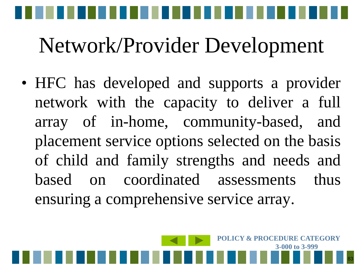

• HFC has developed and supports a provider network with the capacity to deliver a full array of in-home, community-based, and placement service options selected on the basis of child and family strengths and needs and based on coordinated assessments thus ensuring a comprehensive service array.

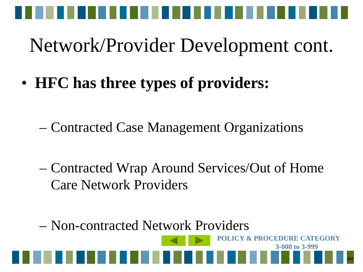

• **HFC has three types of providers:**

- Contracted Case Management Organizations
- Contracted Wrap Around Services/Out of Home Care Network Providers

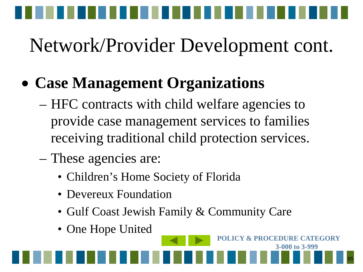

#### • **Case Management Organizations**

- HFC contracts with child welfare agencies to provide case management services to families receiving traditional child protection services.
- These agencies are:
	- Children's Home Society of Florida
	- Devereux Foundation
	- Gulf Coast Jewish Family & Community Care
	- One Hope United

85 **3-000 to 3-999**

**POLICY & PROCEDURE CATEGORY**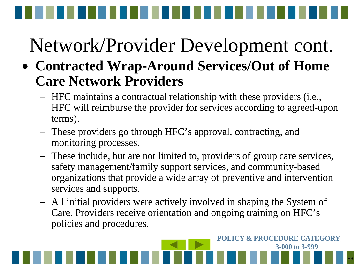- **Contracted Wrap-Around Services/Out of Home Care Network Providers**
	- − HFC maintains a contractual relationship with these providers (i.e., HFC will reimburse the provider for services according to agreed-upon terms).
	- − These providers go through HFC's approval, contracting, and monitoring processes.
	- − These include, but are not limited to, providers of group care services, safety management/family support services, and community-based organizations that provide a wide array of preventive and intervention services and supports.
	- − All initial providers were actively involved in shaping the System of Care. Providers receive orientation and ongoing training on HFC's policies and procedures.

86

**POLICY & PROCEDURE CATEGORY**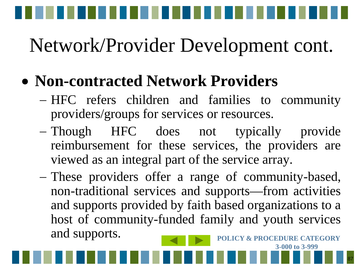

#### • **Non-contracted Network Providers**

- − HFC refers children and families to community providers/groups for services or resources.
- − Though HFC does not typically provide reimbursement for these services, the providers are viewed as an integral part of the service array.
- − These providers offer a range of community-based, non-traditional services and supports—from activities and supports provided by faith based organizations to a host of community-funded family and youth services and supports. **POLICY & PROCEDURE CATEGORY**

87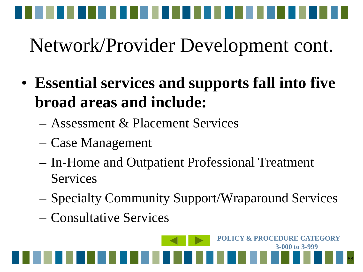

- **Essential services and supports fall into five broad areas and include:**
	- Assessment & Placement Services
	- Case Management
	- In-Home and Outpatient Professional Treatment Services
	- Specialty Community Support/Wraparound Services
	- Consultative Services

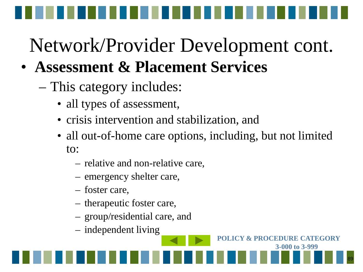- **Assessment & Placement Services** 
	- This category includes:
		- all types of assessment,
		- crisis intervention and stabilization, and
		- all out-of-home care options, including, but not limited to:

89

**POLICY & PROCEDURE CATEGORY** 

- relative and non-relative care,
- emergency shelter care,
- foster care,
- therapeutic foster care,
- group/residential care, and
- independent living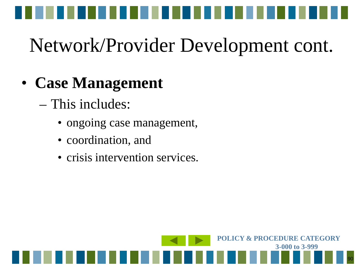

#### • **Case Management**

- This includes:
	- ongoing case management,
	- coordination, and
	- crisis intervention services.

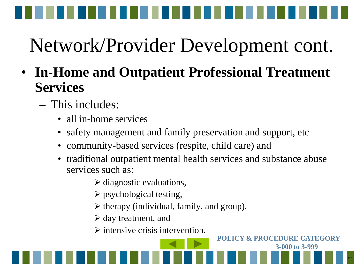

- **In-Home and Outpatient Professional Treatment Services**
	- This includes:
		- all in-home services
		- safety management and family preservation and support, etc
		- community-based services (respite, child care) and
		- traditional outpatient mental health services and substance abuse services such as:
			- $\triangleright$  diagnostic evaluations,
			- $\triangleright$  psychological testing,
			- $\triangleright$  therapy (individual, family, and group),
			- $\triangleright$  day treatment, and
			- $\triangleright$  intensive crisis intervention.



**POLICY & PROCEDURE CATEGORY**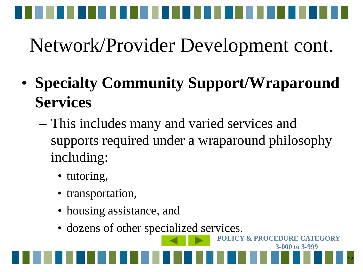

- **Specialty Community Support/Wraparound Services**
	- This includes many and varied services and supports required under a wraparound philosophy including:
		- tutoring,
		- transportation,
		- housing assistance, and
		- dozens of other specialized services.

92 **3-000 to 3-999**

**POLICY & PROCEDURE CATEGORY**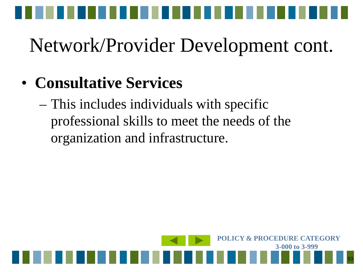

#### • **Consultative Services**

– This includes individuals with specific professional skills to meet the needs of the organization and infrastructure.

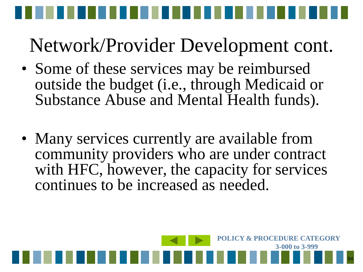- Some of these services may be reimbursed outside the budget (i.e., through Medicaid or Substance Abuse and Mental Health funds).
- Many services currently are available from community providers who are under contract with HFC, however, the capacity for services continues to be increased as needed.

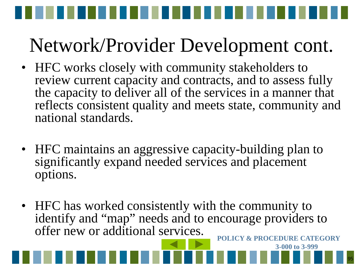- HFC works closely with community stakeholders to review current capacity and contracts, and to assess fully the capacity to deliver all of the services in a manner that reflects consistent quality and meets state, community and national standards.
- HFC maintains an aggressive capacity-building plan to significantly expand needed services and placement options.
- HFC has worked consistently with the community to identify and "map" needs and to encourage providers to offer new or additional services. **POLICY & PROCEDURE CATEGORY**

95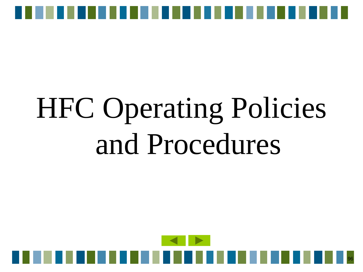

# HFC Operating Policies and Procedures

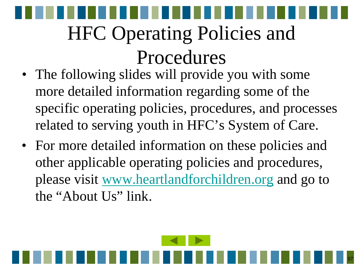### HFC Operating Policies and Procedures

- The following slides will provide you with some more detailed information regarding some of the specific operating policies, procedures, and processes related to serving youth in HFC's System of Care.
- For more detailed information on these policies and other applicable operating policies and procedures, please visit [www.heartlandforchildren.org](http://www.heartlandforchildren.org/) and go to the "About Us" link.

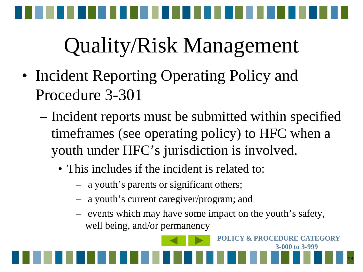

- Incident Reporting Operating Policy and Procedure 3-301
	- Incident reports must be submitted within specified timeframes (see operating policy) to HFC when a youth under HFC's jurisdiction is involved.
		- This includes if the incident is related to:
			- a youth's parents or significant others;
			- a youth's current caregiver/program; and
			- events which may have some impact on the youth's safety, well being, and/or permanency

**POLICY & PROCEDURE CATEGORY** 

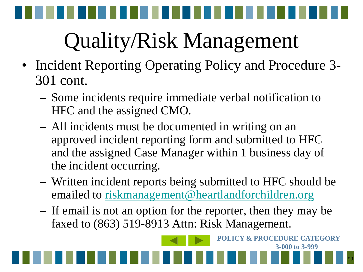- Incident Reporting Operating Policy and Procedure 3-301 cont.
	- Some incidents require immediate verbal notification to HFC and the assigned CMO.
	- All incidents must be documented in writing on an approved incident reporting form and submitted to HFC and the assigned Case Manager within 1 business day of the incident occurring.
	- Written incident reports being submitted to HFC should be emailed to [riskmanagement@heartlandforchildren.org](mailto:riskmanagement@heartlandforchildren.org)
	- If email is not an option for the reporter, then they may be faxed to (863) 519-8913 Attn: Risk Management.

99

**POLICY & PROCEDURE CATEGORY**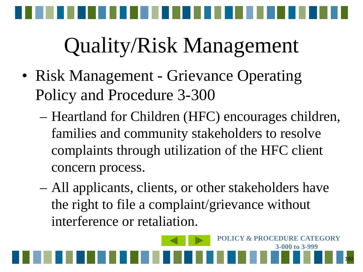

- Risk Management Grievance Operating Policy and Procedure 3-300
	- Heartland for Children (HFC) encourages children, families and community stakeholders to resolve complaints through utilization of the HFC client concern process.
	- All applicants, clients, or other stakeholders have the right to file a complaint/grievance without interference or retaliation.

100

**POLICY & PROCEDURE CATEGORY**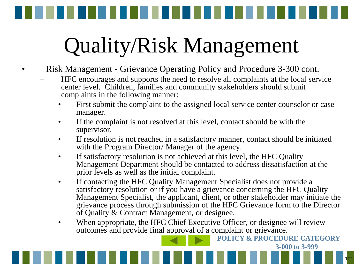<span id="page-100-0"></span>

- Risk Management Grievance Operating Policy and Procedure 3-300 cont.
	- HFC encourages and supports the need to resolve all complaints at the local service center level. Children, families and community stakeholders should submit complaints in the following manner:
		- First submit the complaint to the assigned local service center counselor or case manager.
		- If the complaint is not resolved at this level, contact should be with the supervisor.
		- If resolution is not reached in a satisfactory manner, contact should be initiated with the Program Director/ Manager of the agency.
		- If satisfactory resolution is not achieved at this level, the HFC Quality Management Department should be contacted to address dissatisfaction at the prior levels as well as the initial complaint.
		- If contacting the HFC Quality Management Specialist does not provide a satisfactory resolution or if you have a grievance concerning the HFC Quality Management Specialist, the applicant, client, or other stakeholder may initiate the grievance process through submission of the HFC Grievance form to the Director of Quality & Contract Management, or designee.

101

**3-000 to 3-999**

**POLICY & PROCEDURE CATEGORY**  When appropriate, the HFC Chief Executive Officer, or designee will review outcomes and provide final approval of a complaint or grievance.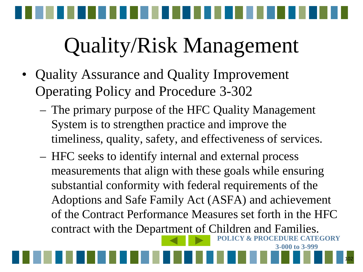- Quality Assurance and Quality Improvement Operating Policy and Procedure 3-302
	- The primary purpose of the HFC Quality Management System is to strengthen practice and improve the timeliness, quality, safety, and effectiveness of services.
	- **FEGORY** – HFC seeks to identify internal and external process measurements that align with these goals while ensuring substantial conformity with federal requirements of the Adoptions and Safe Family Act (ASFA) and achievement of the Contract Performance Measures set forth in the HFC contract with the Depa[rtmen](#page-100-0)[t of C](#page-102-0)hildren and Families.

102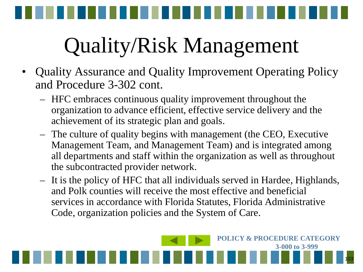<span id="page-102-0"></span>

- Quality Assurance and Quality Improvement Operating Policy and Procedure 3-302 cont.
	- HFC embraces continuous quality improvement throughout the organization to advance efficient, effective service delivery and the achievement of its strategic plan and goals.
	- The culture of quality begins with management (the CEO, Executive Management Team, and Management Team) and is integrated among all departments and staff within the organization as well as throughout the subcontracted provider network.
	- It is the policy of HFC that all individuals served in Hardee, Highlands, and Polk counties will receive the most effective and beneficial services in accordance with Florida Statutes, Florida Administrative Code, organization policies and the System of Care.

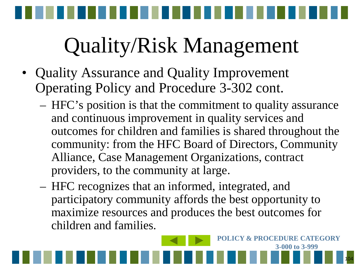- Quality Assurance and Quality Improvement Operating Policy and Procedure 3-302 cont.
	- HFC's position is that the commitment to quality assurance and continuous improvement in quality services and outcomes for children and families is shared throughout the community: from the HFC Board of Directors, Community Alliance, Case Management Organizations, contract providers, to the community at large.
	- HFC recognizes that an informed, integrated, and participatory community affords the best opportunity to maximize resources and produces the best outcomes for children and families.

104

**POLICY & PROCEDURE CATEGORY**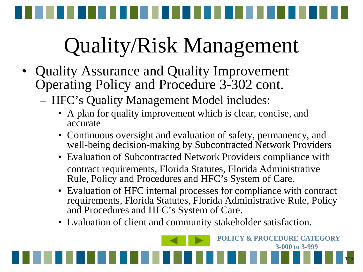<span id="page-104-0"></span>

- Quality Assurance and Quality Improvement Operating Policy and Procedure 3-302 cont.
	- HFC's Quality Management Model includes:
		- A plan for quality improvement which is clear, concise, and accurate
		- Continuous oversight and evaluation of safety, permanency, and well-being decision-making by Subcontracted Network Providers
		- Evaluation of Subcontracted Network Providers compliance with contract requirements, Florida Statutes, Florida Administrative Rule, Policy and Procedures and HFC's System of Care.
		- Evaluation of HFC internal processes for compliance with contract requirements, Florida Statutes, Florida Administrative Rule, Policy and Procedures and HFC's System of Care.
		- Evaluation of client and community stakeholder satisfaction.

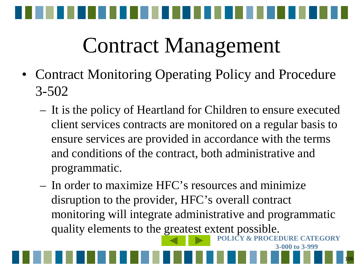

### Contract Management

- Contract Monitoring Operating Policy and Procedure 3-502
	- It is the policy of Heartland for Children to ensure executed client services contracts are monitored on a regular basis to ensure services are provided in accordance with the terms and conditions of the contract, both administrative and programmatic.
	- **ATEGORY** – In order to maximize HFC's resources and minimize disruption to the provider, HFC's overall contract monitoring will integrate administrative and programmatic quality elements to the [great](#page-104-0)[est ex](#page-106-0)tent possible.

106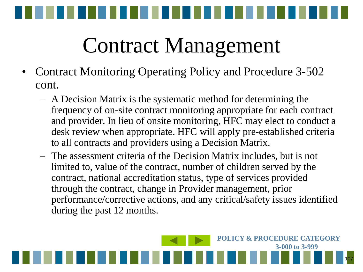<span id="page-106-0"></span>

### Contract Management

- Contract Monitoring Operating Policy and Procedure 3-502 cont.
	- A Decision Matrix is the systematic method for determining the frequency of on-site contract monitoring appropriate for each contract and provider. In lieu of onsite monitoring, HFC may elect to conduct a desk review when appropriate. HFC will apply pre-established criteria to all contracts and providers using a Decision Matrix.
	- The assessment criteria of the Decision Matrix includes, but is not limited to, value of the contract, number of children served by the contract, national accreditation status, type of services provided through the contract, change in Provider management, prior performance/corrective actions, and any critical/safety issues identified during the past 12 months.

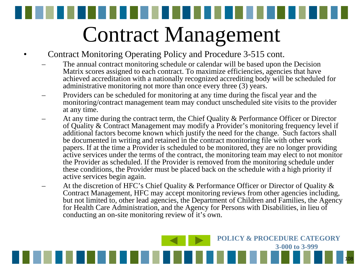Contract Management

- Contract Monitoring Operating Policy and Procedure 3-515 cont.
	- The annual contract monitoring schedule or calendar will be based upon the Decision Matrix scores assigned to each contract. To maximize efficiencies, agencies that have achieved accreditation with a nationally recognized accrediting body will be scheduled for administrative monitoring not more than once every three (3) years.
	- Providers can be scheduled for monitoring at any time during the fiscal year and the monitoring/contract management team may conduct unscheduled site visits to the provider at any time.
	- At any time during the contract term, the Chief Quality & Performance Officer or Director of Quality & Contract Management may modify a Provider's monitoring frequency level if additional factors become known which justify the need for the change. Such factors shall be documented in writing and retained in the contract monitoring file with other work papers. If at the time a Provider is scheduled to be monitored, they are no longer providing active services under the terms of the contract, the monitoring team may elect to not monitor the Provider as scheduled. If the Provider is removed from the monitoring schedule under these conditions, the Provider must be placed back on the schedule with a high priority if active services begin again.
	- At the discretion of HFC's Chief Quality & Performance Officer or Director of Quality & Contract Management, HFC may accept monitoring reviews from other agencies including, but not limited to, other lead agencies, the Department of Children and Families, the Agency for Health Care Administration, and the Agency for Persons with Disabilities, in lieu of conducting an on-site monitoring review of it's own.

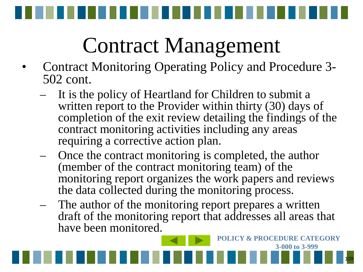

- Contract Monitoring Operating Policy and Procedure 3- 502 cont.
	- It is the policy of Heartland for Children to submit a written report to the Provider within thirty (30) days of completion of the exit review detailing the findings of the contract monitoring activities including any areas requiring a corrective action plan.
	- Once the contract monitoring is completed, the author (member of the contract monitoring team) of the monitoring report organizes the work papers and reviews the data collected during the monitoring process.
	- The author of the monitoring report prepares a written draft of the monitoring report that addresses all areas that have been monitored.

109

**POLICY & PROCEDURE CATEGORY** 

**3-000 to 3-999**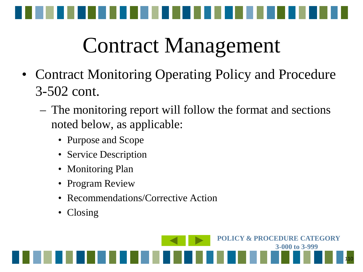

- Contract Monitoring Operating Policy and Procedure 3-502 cont.
	- The monitoring report will follow the format and sections noted below, as applicable:
		- Purpose and Scope
		- Service Description
		- Monitoring Plan
		- Program Review
		- Recommendations/Corrective Action
		- Closing

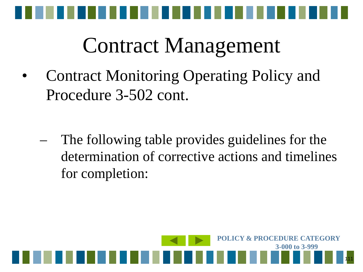

• Contract Monitoring Operating Policy and Procedure 3-502 cont.

The following table provides guidelines for the determination of corrective actions and timelines for completion:

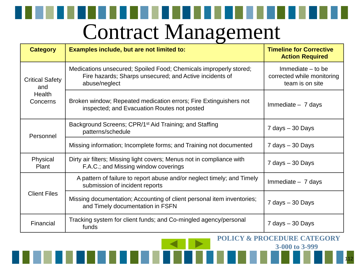| <b>Category</b>                                     | Examples include, but are not limited to:                                                                                                     | <b>Timeline for Corrective</b><br><b>Action Required</b>             |
|-----------------------------------------------------|-----------------------------------------------------------------------------------------------------------------------------------------------|----------------------------------------------------------------------|
| <b>Critical Safety</b><br>and<br>Health<br>Concerns | Medications unsecured; Spoiled Food; Chemicals improperly stored;<br>Fire hazards; Sharps unsecured; and Active incidents of<br>abuse/neglect | Immediate $-$ to be<br>corrected while monitoring<br>team is on site |
|                                                     | Broken window; Repeated medication errors; Fire Extinguishers not<br>inspected; and Evacuation Routes not posted                              | Immediate $-7$ days                                                  |
| Personnel                                           | Background Screens; CPR/1 <sup>st</sup> Aid Training; and Staffing<br>patterns/schedule                                                       | 7 days - 30 Days                                                     |
|                                                     | Missing information; Incomplete forms; and Training not documented                                                                            | $7$ days $-30$ Days                                                  |
| Physical<br>Plant                                   | Dirty air filters; Missing light covers; Menus not in compliance with<br>F.A.C.; and Missing window coverings                                 | $7$ days $-30$ Days                                                  |
| <b>Client Files</b>                                 | A pattern of failure to report abuse and/or neglect timely; and Timely<br>submission of incident reports                                      | $Immediate - 7 days$                                                 |
|                                                     | Missing documentation; Accounting of client personal item inventories;<br>and Timely documentation in FSFN                                    | $7$ days $-30$ Days                                                  |
| Financial                                           | Tracking system for client funds; and Co-mingled agency/personal<br>funds                                                                     | 7 days - 30 Days                                                     |

**POLICY & PROCEDURE CATEGORY 3-000 to 3-999**

112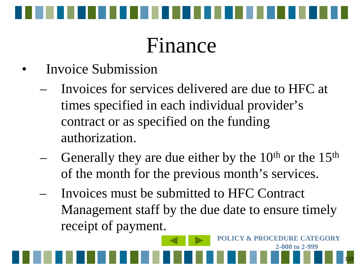

#### Finance

- Invoice Submission
	- Invoices for services delivered are due to HFC at times specified in each individual provider's contract or as specified on the funding authorization.
	- Generally they are due either by the  $10<sup>th</sup>$  or the  $15<sup>th</sup>$ of the month for the previous month's services.
	- Invoices must be submitted to HFC Contract Management staff by the due date to ensure timely receipt of payment.

113

**POLICY & PROCEDURE CATEGORY** 

**2-000 to 2-999**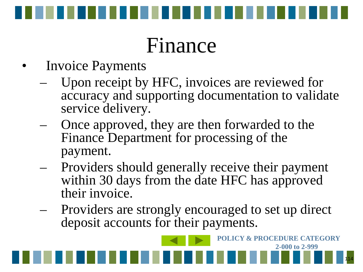

#### Finance

- **Invoice Payments** 
	- Upon receipt by HFC, invoices are reviewed for accuracy and supporting documentation to validate service delivery.
	- Once approved, they are then forwarded to the Finance Department for processing of the payment.
	- Providers should generally receive their payment within 30 days from the date HFC has approved their invoice.
	- Providers are strongly encouraged to set up direct deposit accounts for their payments.

114

**POLICY & PROCEDURE CATEGORY** 

**2-000 to 2-999**